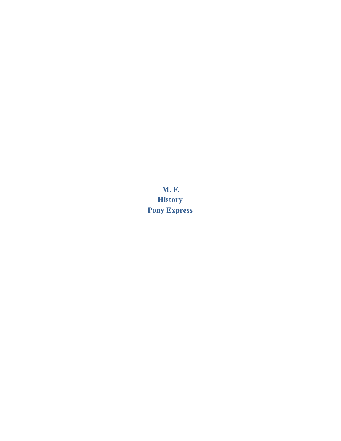**M. F. History Pony Express**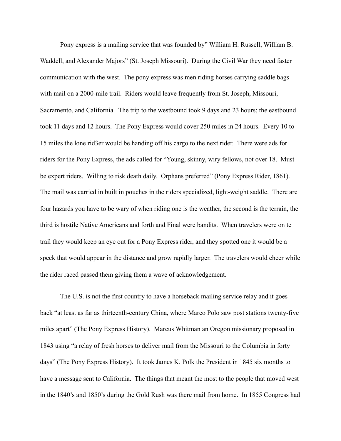Pony express is a mailing service that was founded by" William H. Russell, William B. Waddell, and Alexander Majors" (St. Joseph Missouri). During the Civil War they need faster communication with the west. The pony express was men riding horses carrying saddle bags with mail on a 2000-mile trail. Riders would leave frequently from St. Joseph, Missouri, Sacramento, and California. The trip to the westbound took 9 days and 23 hours; the eastbound took 11 days and 12 hours. The Pony Express would cover 250 miles in 24 hours. Every 10 to 15 miles the lone rid3er would be handing off his cargo to the next rider. There were ads for riders for the Pony Express, the ads called for "Young, skinny, wiry fellows, not over 18. Must be expert riders. Willing to risk death daily. Orphans preferred" (Pony Express Rider, 1861). The mail was carried in built in pouches in the riders specialized, light-weight saddle. There are four hazards you have to be wary of when riding one is the weather, the second is the terrain, the third is hostile Native Americans and forth and Final were bandits. When travelers were on te trail they would keep an eye out for a Pony Express rider, and they spotted one it would be a speck that would appear in the distance and grow rapidly larger. The travelers would cheer while the rider raced passed them giving them a wave of acknowledgement.

 The U.S. is not the first country to have a horseback mailing service relay and it goes back "at least as far as thirteenth-century China, where Marco Polo saw post stations twenty-five miles apart" (The Pony Express History). Marcus Whitman an Oregon missionary proposed in 1843 using "a relay of fresh horses to deliver mail from the Missouri to the Columbia in forty days" (The Pony Express History). It took James K. Polk the President in 1845 six months to have a message sent to California. The things that meant the most to the people that moved west in the 1840's and 1850's during the Gold Rush was there mail from home. In 1855 Congress had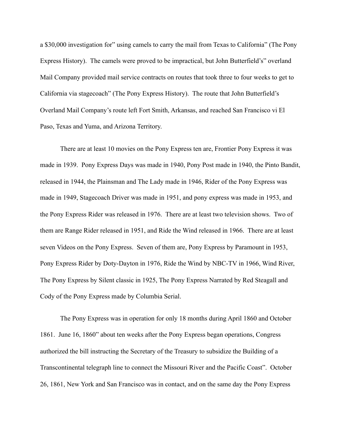a \$30,000 investigation for" using camels to carry the mail from Texas to California" (The Pony Express History). The camels were proved to be impractical, but John Butterfield's" overland Mail Company provided mail service contracts on routes that took three to four weeks to get to California via stagecoach" (The Pony Express History). The route that John Butterfield's Overland Mail Company's route left Fort Smith, Arkansas, and reached San Francisco vi El Paso, Texas and Yuma, and Arizona Territory.

 There are at least 10 movies on the Pony Express ten are, Frontier Pony Express it was made in 1939. Pony Express Days was made in 1940, Pony Post made in 1940, the Pinto Bandit, released in 1944, the Plainsman and The Lady made in 1946, Rider of the Pony Express was made in 1949, Stagecoach Driver was made in 1951, and pony express was made in 1953, and the Pony Express Rider was released in 1976. There are at least two television shows. Two of them are Range Rider released in 1951, and Ride the Wind released in 1966. There are at least seven Videos on the Pony Express. Seven of them are, Pony Express by Paramount in 1953, Pony Express Rider by Doty-Dayton in 1976, Ride the Wind by NBC-TV in 1966, Wind River, The Pony Express by Silent classic in 1925, The Pony Express Narrated by Red Steagall and Cody of the Pony Express made by Columbia Serial.

The Pony Express was in operation for only 18 months during April 1860 and October 1861. June 16, 1860" about ten weeks after the Pony Express began operations, Congress authorized the bill instructing the Secretary of the Treasury to subsidize the Building of a Transcontinental telegraph line to connect the Missouri River and the Pacific Coast". October 26, 1861, New York and San Francisco was in contact, and on the same day the Pony Express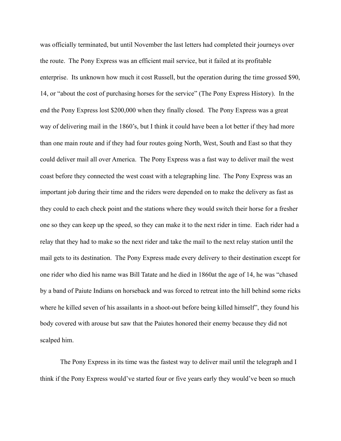was officially terminated, but until November the last letters had completed their journeys over the route. The Pony Express was an efficient mail service, but it failed at its profitable enterprise. Its unknown how much it cost Russell, but the operation during the time grossed \$90, 14, or "about the cost of purchasing horses for the service" (The Pony Express History). In the end the Pony Express lost \$200,000 when they finally closed. The Pony Express was a great way of delivering mail in the 1860's, but I think it could have been a lot better if they had more than one main route and if they had four routes going North, West, South and East so that they could deliver mail all over America. The Pony Express was a fast way to deliver mail the west coast before they connected the west coast with a telegraphing line. The Pony Express was an important job during their time and the riders were depended on to make the delivery as fast as they could to each check point and the stations where they would switch their horse for a fresher one so they can keep up the speed, so they can make it to the next rider in time. Each rider had a relay that they had to make so the next rider and take the mail to the next relay station until the mail gets to its destination. The Pony Express made every delivery to their destination except for one rider who died his name was Bill Tatate and he died in 1860at the age of 14, he was "chased by a band of Paiute Indians on horseback and was forced to retreat into the hill behind some ricks where he killed seven of his assailants in a shoot-out before being killed himself", they found his body covered with arouse but saw that the Paiutes honored their enemy because they did not scalped him.

The Pony Express in its time was the fastest way to deliver mail until the telegraph and I think if the Pony Express would've started four or five years early they would've been so much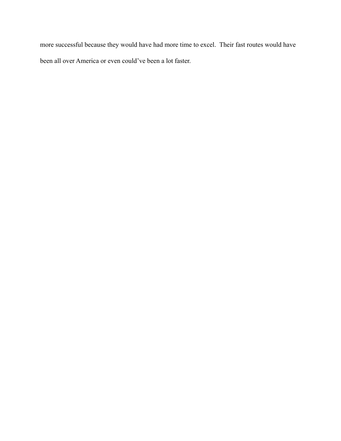more successful because they would have had more time to excel. Their fast routes would have been all over America or even could've been a lot faster.